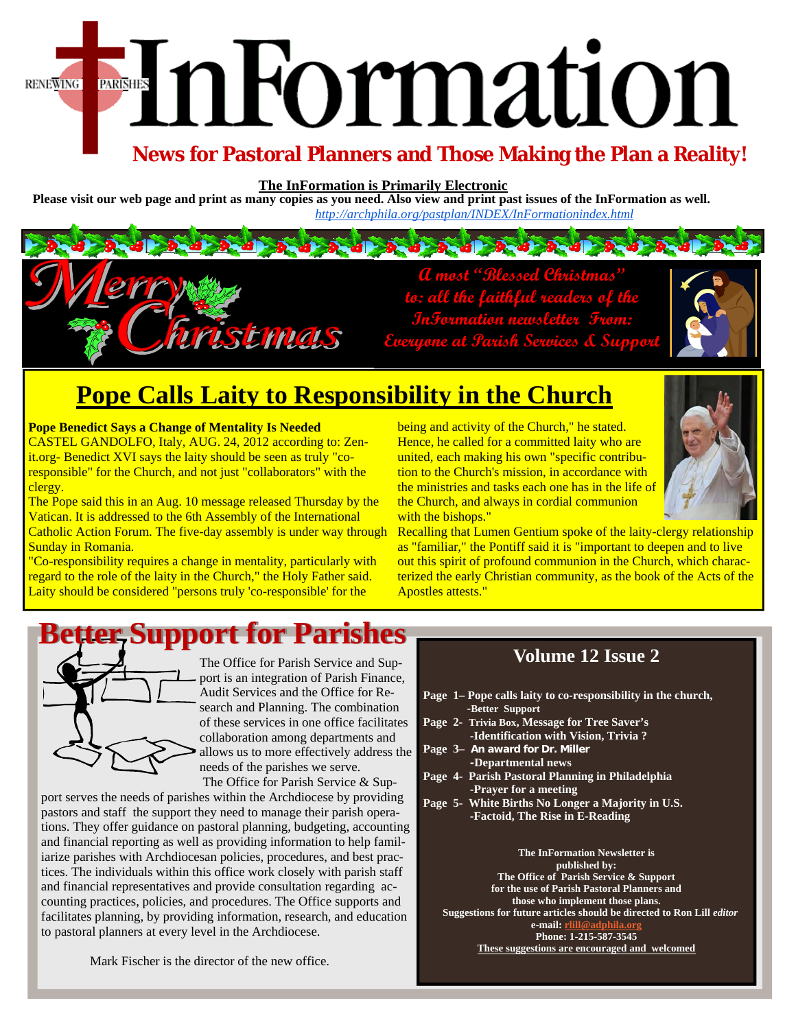# EnFormation **RENEWING**

### **News for Pastoral Planners and Those Making the Plan a Reality!**

**The InFormation is Primarily Electronic** 

**Please visit our web page and print as many copies as you need. Also view and print past issues of the InFormation as well.**  *http://archphila.org/pastplan/INDEX/InFormationindex.html* 

> **A most "Blessed Christmas" to: all the faithful readers of the InFormation newsletter From: Everyone at Parish Services & Support**



## **Pope Calls Laity to Responsibility in the Church**

ristmais

**Pope Benedict Says a Change of Mentality Is Needed** 

CASTEL GANDOLFO, Italy, AUG. 24, 2012 according to: Zenit.org- Benedict XVI says the laity should be seen as truly "coresponsible" for the Church, and not just "collaborators" with the clergy.

The Pope said this in an Aug. 10 message released Thursday by the Vatican. It is addressed to the 6th Assembly of the International Catholic Action Forum. The five-day assembly is under way through Sunday in Romania.

"Co-responsibility requires a change in mentality, particularly with regard to the role of the laity in the Church," the Holy Father said. Laity should be considered "persons truly 'co-responsible' for the

being and activity of the Church," he stated. Hence, he called for a committed laity who are united, each making his own "specific contribution to the Church's mission, in accordance with the ministries and tasks each one has in the life of the Church, and always in cordial communion with the bishops."



Recalling that Lumen Gentium spoke of the laity-clergy relationship as "familiar," the Pontiff said it is "important to deepen and to live out this spirit of profound communion in the Church, which characterized the early Christian community, as the book of the Acts of the Apostles attests."

# *<b>tter, Support for Parishes*



The Office for Parish Service and Support is an integration of Parish Finance, Audit Services and the Office for Research and Planning. The combination of these services in one office facilitates collaboration among departments and allows us to more effectively address the needs of the parishes we serve.

 The Office for Parish Service & Support serves the needs of parishes within the Archdiocese by providing pastors and staff the support they need to manage their parish operations. They offer guidance on pastoral planning, budgeting, accounting and financial reporting as well as providing information to help familiarize parishes with Archdiocesan policies, procedures, and best practices. The individuals within this office work closely with parish staff and financial representatives and provide consultation regarding accounting practices, policies, and procedures. The Office supports and facilitates planning, by providing information, research, and education to pastoral planners at every level in the Archdiocese.

#### **Volume 12 Issue 2**

- **Page 1– Pope calls laity to co-responsibility in the church, -Better Support**
- **Page 2- Trivia Box, Message for Tree Saver's -Identification with Vision, Trivia ?**
- **Page 3– An award for Dr. Miller -Departmental news**
- **Page 4- Parish Pastoral Planning in Philadelphia -Prayer for a meeting**
- **Page 5- White Births No Longer a Majority in U.S. -Factoid, The Rise in E-Reading**

**The InFormation Newsletter is published by: The Office of Parish Service & Support for the use of Parish Pastoral Planners and those who implement those plans. Suggestions for future articles should be directed to Ron Lill** *editor*  **e-mail:** r **Phone: 1-215-587-3545 These suggestions are encouraged and welcomed** 

Mark Fischer is the director of the new office.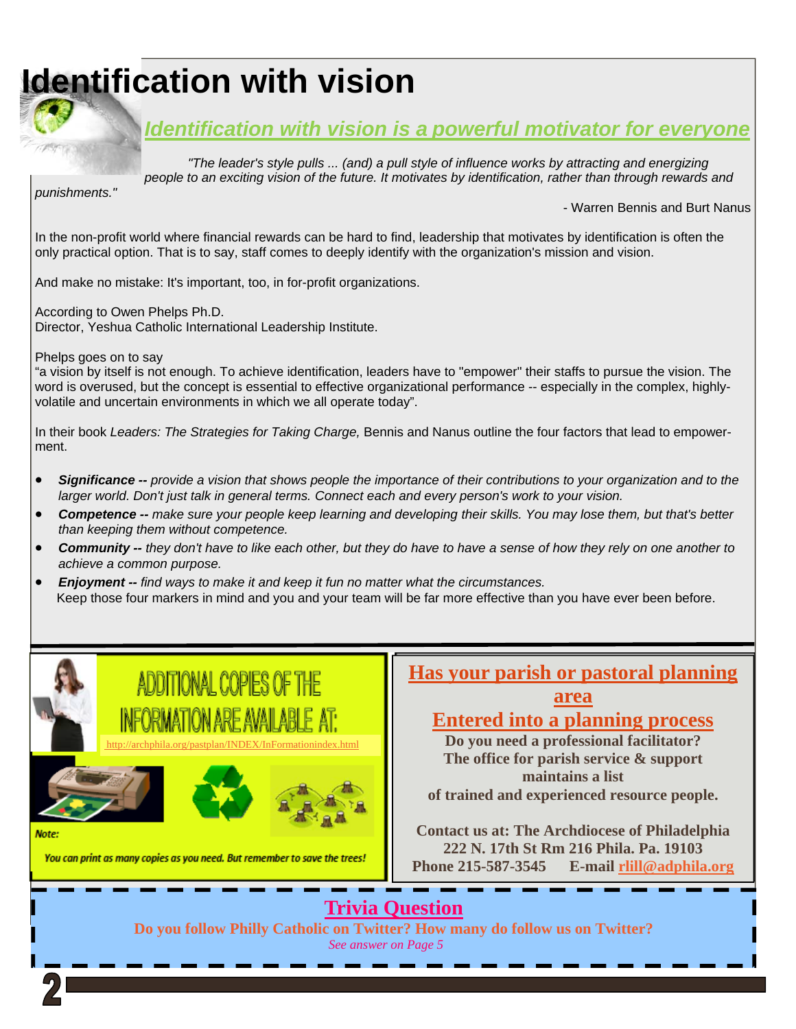# **Identification with vision**



*"The leader's style pulls ... (and) a pull style of influence works by attracting and energizing people to an exciting vision of the future. It motivates by identification, rather than through rewards and* 

*punishments."*

- Warren Bennis and Burt Nanus

In the non-profit world where financial rewards can be hard to find, leadership that motivates by identification is often the only practical option. That is to say, staff comes to deeply identify with the organization's mission and vision.

And make no mistake: It's important, too, in for-profit organizations.

According to Owen Phelps Ph.D. Director, Yeshua Catholic International Leadership Institute.

Phelps goes on to say

"a vision by itself is not enough. To achieve identification, leaders have to "empower" their staffs to pursue the vision. The word is overused, but the concept is essential to effective organizational performance -- especially in the complex, highlyvolatile and uncertain environments in which we all operate today".

In their book *Leaders: The Strategies for Taking Charge,* Bennis and Nanus outline the four factors that lead to empowerment.

- *Significance -- provide a vision that shows people the importance of their contributions to your organization and to the larger world. Don't just talk in general terms. Connect each and every person's work to your vision.*
- *Competence -- make sure your people keep learning and developing their skills. You may lose them, but that's better than keeping them without competence.*
- *Community -- they don't have to like each other, but they do have to have a sense of how they rely on one another to achieve a common purpose.*
- *Enjoyment -- find ways to make it and keep it fun no matter what the circumstances.* Keep those four markers in mind and you and your team will be far more effective than you have ever been before.



You can print as many copies as you need. But remember to save the trees!



#### **area Entered into a planning process**

**Do you need a professional facilitator? The office for parish service & support maintains a list of trained and experienced resource people.** 

**Contact us at: The Archdiocese of Philadelphia 222 N. 17th St Rm 216 Phila. Pa. 19103 Phone 215-587-3545 E-mail rlill@adphila.org** 

### **Trivia Question**

**Do you follow Philly Catholic on Twitter? How many do follow us on Twitter?** *See answer on Page 5*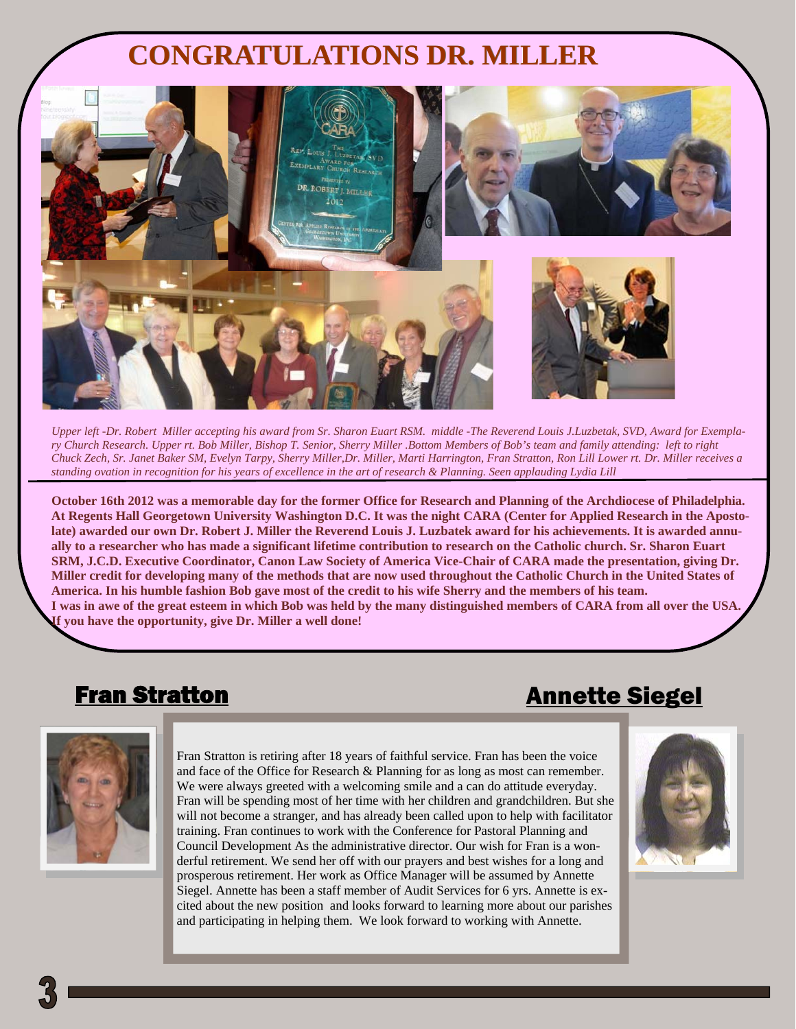# **CONGRATULATIONS DR. MILLER**



*Upper left -Dr. Robert Miller accepting his award from Sr. Sharon Euart RSM. middle -The Reverend Louis J.Luzbetak, SVD, Award for Exemplary Church Research. Upper rt. Bob Miller, Bishop T. Senior, Sherry Miller .Bottom Members of Bob's team and family attending: left to right Chuck Zech, Sr. Janet Baker SM, Evelyn Tarpy, Sherry Miller,Dr. Miller, Marti Harrington, Fran Stratton, Ron Lill Lower rt. Dr. Miller receives a standing ovation in recognition for his years of excellence in the art of research & Planning. Seen applauding Lydia Lill* 

**October 16th 2012 was a memorable day for the former Office for Research and Planning of the Archdiocese of Philadelphia. At Regents Hall Georgetown University Washington D.C. It was the night CARA (Center for Applied Research in the Apostolate) awarded our own Dr. Robert J. Miller the Reverend Louis J. Luzbatek award for his achievements. It is awarded annually to a researcher who has made a significant lifetime contribution to research on the Catholic church. Sr. Sharon Euart SRM, J.C.D. Executive Coordinator, Canon Law Society of America Vice-Chair of CARA made the presentation, giving Dr. Miller credit for developing many of the methods that are now used throughout the Catholic Church in the United States of America. In his humble fashion Bob gave most of the credit to his wife Sherry and the members of his team. I was in awe of the great esteem in which Bob was held by the many distinguished members of CARA from all over the USA. If you have the opportunity, give Dr. Miller a well done!** 

### Fran Stratton

### Annette Siegel



Fran Stratton is retiring after 18 years of faithful service. Fran has been the voice and face of the Office for Research & Planning for as long as most can remember. We were always greeted with a welcoming smile and a can do attitude everyday. Fran will be spending most of her time with her children and grandchildren. But she will not become a stranger, and has already been called upon to help with facilitator training. Fran continues to work with the Conference for Pastoral Planning and Council Development As the administrative director. Our wish for Fran is a wonderful retirement. We send her off with our prayers and best wishes for a long and prosperous retirement. Her work as Office Manager will be assumed by Annette Siegel. Annette has been a staff member of Audit Services for 6 yrs. Annette is excited about the new position and looks forward to learning more about our parishes and participating in helping them. We look forward to working with Annette.



٦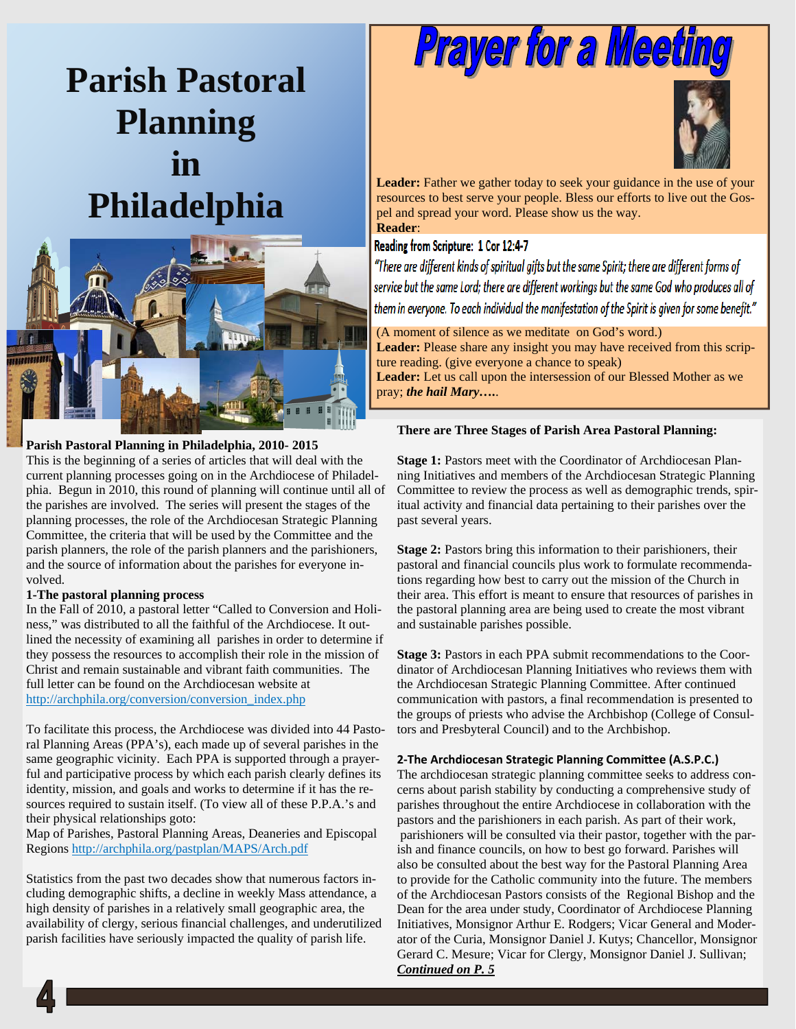# **Parish Pastoral Planning in Philadelphia**



#### **Parish Pastoral Planning in Philadelphia, 2010- 2015**

This is the beginning of a series of articles that will deal with the current planning processes going on in the Archdiocese of Philadelphia. Begun in 2010, this round of planning will continue until all of the parishes are involved. The series will present the stages of the planning processes, the role of the Archdiocesan Strategic Planning Committee, the criteria that will be used by the Committee and the parish planners, the role of the parish planners and the parishioners, and the source of information about the parishes for everyone involved.

#### **1-The pastoral planning process**

In the Fall of 2010, a pastoral letter "Called to Conversion and Holiness," was distributed to all the faithful of the Archdiocese. It outlined the necessity of examining all parishes in order to determine if they possess the resources to accomplish their role in the mission of Christ and remain sustainable and vibrant faith communities. The full letter can be found on the Archdiocesan website at http://archphila.org/conversion/conversion\_index.php

To facilitate this process, the Archdiocese was divided into 44 Pastoral Planning Areas (PPA's), each made up of several parishes in the same geographic vicinity. Each PPA is supported through a prayerful and participative process by which each parish clearly defines its identity, mission, and goals and works to determine if it has the resources required to sustain itself. (To view all of these P.P.A.'s and their physical relationships goto:

Map of Parishes, Pastoral Planning Areas, Deaneries and Episcopal Regions http://archphila.org/pastplan/MAPS/Arch.pdf

Statistics from the past two decades show that numerous factors including demographic shifts, a decline in weekly Mass attendance, a high density of parishes in a relatively small geographic area, the availability of clergy, serious financial challenges, and underutilized parish facilities have seriously impacted the quality of parish life.

# **Prayer for a Meeting**



Leader: Father we gather today to seek your guidance in the use of your resources to best serve your people. Bless our efforts to live out the Gospel and spread your word. Please show us the way. **Reader**:

#### Reading from Scripture: 1 Cor 12:4-7

"There are different kinds of spiritual gifts but the same Spirit; there are different forms of service but the same Lord; there are different workings but the same God who produces all of them in everyone. To each individual the manifestation of the Spirit is given for some benefit."

(A moment of silence as we meditate on God's word.) **Leader:** Please share any insight you may have received from this scripture reading. (give everyone a chance to speak) **Leader:** Let us call upon the intersession of our Blessed Mother as we pray; *the hail Mary….*.

#### **There are Three Stages of Parish Area Pastoral Planning:**

**Stage 1:** Pastors meet with the Coordinator of Archdiocesan Planning Initiatives and members of the Archdiocesan Strategic Planning Committee to review the process as well as demographic trends, spiritual activity and financial data pertaining to their parishes over the past several years.

**Stage 2:** Pastors bring this information to their parishioners, their pastoral and financial councils plus work to formulate recommendations regarding how best to carry out the mission of the Church in their area. This effort is meant to ensure that resources of parishes in the pastoral planning area are being used to create the most vibrant and sustainable parishes possible.

**Stage 3:** Pastors in each PPA submit recommendations to the Coordinator of Archdiocesan Planning Initiatives who reviews them with the Archdiocesan Strategic Planning Committee. After continued communication with pastors, a final recommendation is presented to the groups of priests who advise the Archbishop (College of Consultors and Presbyteral Council) and to the Archbishop.

#### **2-The Archdiocesan Strategic Planning Committee (A.S.P.C.)**

The archdiocesan strategic planning committee seeks to address concerns about parish stability by conducting a comprehensive study of parishes throughout the entire Archdiocese in collaboration with the pastors and the parishioners in each parish. As part of their work, parishioners will be consulted via their pastor, together with the parish and finance councils, on how to best go forward. Parishes will also be consulted about the best way for the Pastoral Planning Area to provide for the Catholic community into the future. The members of the Archdiocesan Pastors consists of the Regional Bishop and the Dean for the area under study, Coordinator of Archdiocese Planning Initiatives, Monsignor Arthur E. Rodgers; Vicar General and Moderator of the Curia, Monsignor Daniel J. Kutys; Chancellor, Monsignor Gerard C. Mesure; Vicar for Clergy, Monsignor Daniel J. Sullivan; *Continued on P. 5*